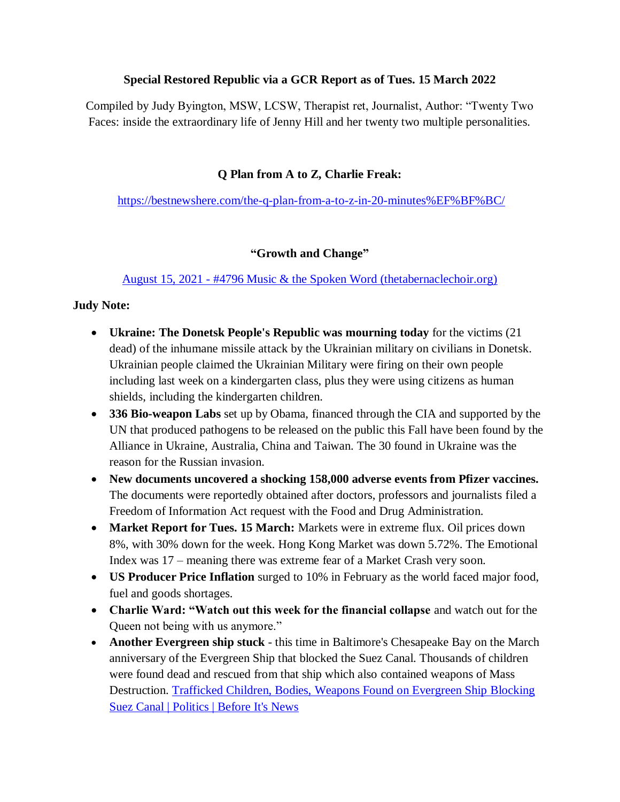#### **Special Restored Republic via a GCR Report as of Tues. 15 March 2022**

Compiled by Judy Byington, MSW, LCSW, Therapist ret, Journalist, Author: "Twenty Two Faces: inside the extraordinary life of Jenny Hill and her twenty two multiple personalities.

#### **Q Plan from A to Z, Charlie Freak:**

<https://bestnewshere.com/the-q-plan-from-a-to-z-in-20-minutes%EF%BF%BC/>

#### **"Growth and Change"**

August 15, 2021 - [#4796 Music & the Spoken Word \(thetabernaclechoir.org\)](https://www.thetabernaclechoir.org/videos/august-15-2021-4796-music-and-the-spoken-word.html)

#### **Judy Note:**

- **Ukraine: The Donetsk People's Republic was mourning today** for the victims (21 dead) of the inhumane missile attack by the Ukrainian military on civilians in Donetsk. Ukrainian people claimed the Ukrainian Military were firing on their own people including last week on a kindergarten class, plus they were using citizens as human shields, including the kindergarten children.
- **336 Bio-weapon Labs** set up by Obama, financed through the CIA and supported by the UN that produced pathogens to be released on the public this Fall have been found by the Alliance in Ukraine, Australia, China and Taiwan. The 30 found in Ukraine was the reason for the Russian invasion.
- **New documents uncovered a shocking 158,000 adverse events from Pfizer vaccines.** The documents were reportedly obtained after doctors, professors and journalists filed a Freedom of Information Act request with the Food and Drug Administration.
- Market Report for Tues. 15 March: Markets were in extreme flux. Oil prices down 8%, with 30% down for the week. Hong Kong Market was down 5.72%. The Emotional Index was 17 – meaning there was extreme fear of a Market Crash very soon.
- **US Producer Price Inflation** surged to 10% in February as the world faced major food, fuel and goods shortages.
- **Charlie Ward: "Watch out this week for the financial collapse** and watch out for the Queen not being with us anymore."
- **Another Evergreen ship stuck** this time in Baltimore's Chesapeake Bay on the March anniversary of the Evergreen Ship that blocked the Suez Canal. Thousands of children were found dead and rescued from that ship which also contained weapons of Mass Destruction. [Trafficked Children, Bodies, Weapons Found on Evergreen Ship Blocking](https://beforeitsnews.com/politics/2021/04/trafficked-children-bodies-weapons-found-on-evergreen-ship-blocking-suez-canal-3230145.html)  [Suez Canal | Politics | Before It's News](https://beforeitsnews.com/politics/2021/04/trafficked-children-bodies-weapons-found-on-evergreen-ship-blocking-suez-canal-3230145.html)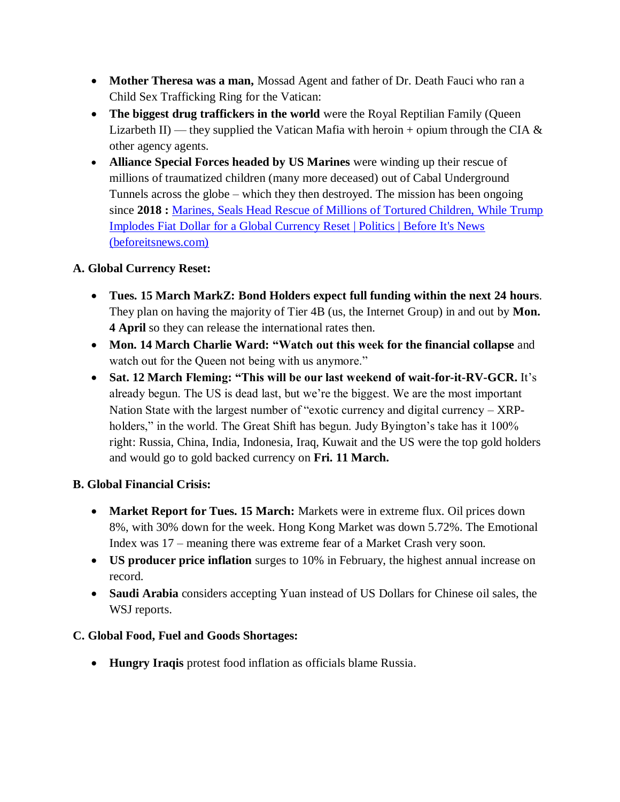- **Mother Theresa was a man,** Mossad Agent and father of Dr. Death Fauci who ran a Child Sex Trafficking Ring for the Vatican:
- **The biggest drug traffickers in the world** were the Royal Reptilian Family (Queen Lizarbeth II) — they supplied the Vatican Mafia with heroin + opium through the CIA  $\&$ other agency agents.
- **Alliance Special Forces headed by US Marines** were winding up their rescue of millions of traumatized children (many more deceased) out of Cabal Underground Tunnels across the globe – which they then destroyed. The mission has been ongoing since **2018 :** [Marines, Seals Head Rescue of Millions of Tortured Children, While Trump](https://beforeitsnews.com/politics/2021/04/marines-seals-head-rescue-of-millions-of-tortured-children-while-trump-implodes-fiat-dollar-for-a-global-currency-reset-3232029.html)  [Implodes Fiat Dollar for a Global Currency Reset | Politics | Before It's News](https://beforeitsnews.com/politics/2021/04/marines-seals-head-rescue-of-millions-of-tortured-children-while-trump-implodes-fiat-dollar-for-a-global-currency-reset-3232029.html)  [\(beforeitsnews.com\)](https://beforeitsnews.com/politics/2021/04/marines-seals-head-rescue-of-millions-of-tortured-children-while-trump-implodes-fiat-dollar-for-a-global-currency-reset-3232029.html)

# **A. Global Currency Reset:**

- **Tues. 15 March MarkZ: Bond Holders expect full funding within the next 24 hours**. They plan on having the majority of Tier 4B (us, the Internet Group) in and out by **Mon. 4 April** so they can release the international rates then.
- **Mon. 14 March Charlie Ward: "Watch out this week for the financial collapse** and watch out for the Queen not being with us anymore."
- **Sat. 12 March Fleming: "This will be our last weekend of wait-for-it-RV-GCR.** It's already begun. The US is dead last, but we're the biggest. We are the most important Nation State with the largest number of "exotic currency and digital currency  $-$  XRPholders," in the world. The Great Shift has begun. Judy Byington's take has it 100% right: Russia, China, India, Indonesia, Iraq, Kuwait and the US were the top gold holders and would go to gold backed currency on **Fri. 11 March.**

### **B. Global Financial Crisis:**

- **Market Report for Tues. 15 March:** Markets were in extreme flux. Oil prices down 8%, with 30% down for the week. Hong Kong Market was down 5.72%. The Emotional Index was 17 – meaning there was extreme fear of a Market Crash very soon.
- **US producer price inflation** surges to 10% in February, the highest annual increase on record.
- **Saudi Arabia** considers accepting Yuan instead of US Dollars for Chinese oil sales, the WSJ reports.

### **C. Global Food, Fuel and Goods Shortages:**

**Hungry Iraqis** protest food inflation as officials blame Russia.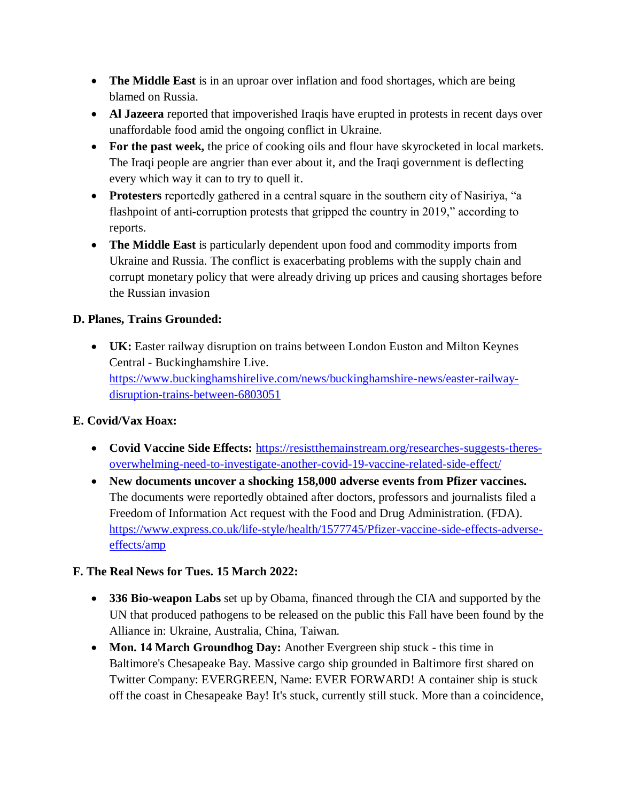- **The Middle East** is in an uproar over inflation and food shortages, which are being blamed on Russia.
- **Al Jazeera** reported that impoverished Iraqis have erupted in protests in recent days over unaffordable food amid the ongoing conflict in Ukraine.
- **For the past week,** the price of cooking oils and flour have skyrocketed in local markets. The Iraqi people are angrier than ever about it, and the Iraqi government is deflecting every which way it can to try to quell it.
- **Protesters** reportedly gathered in a central square in the southern city of Nasiriya, "a flashpoint of anti-corruption protests that gripped the country in 2019," according to reports.
- **The Middle East** is particularly dependent upon food and commodity imports from Ukraine and Russia. The conflict is exacerbating problems with the supply chain and corrupt monetary policy that were already driving up prices and causing shortages before the Russian invasion

# **D. Planes, Trains Grounded:**

 **UK:** Easter railway disruption on trains between London Euston and Milton Keynes Central - Buckinghamshire Live. [https://www.buckinghamshirelive.com/news/buckinghamshire-news/easter-railway](https://www.buckinghamshirelive.com/news/buckinghamshire-news/easter-railway-disruption-trains-between-6803051)[disruption-trains-between-6803051](https://www.buckinghamshirelive.com/news/buckinghamshire-news/easter-railway-disruption-trains-between-6803051)

# **E. Covid/Vax Hoax:**

- **Covid Vaccine Side Effects:** [https://resistthemainstream.org/researches-suggests-theres](https://resistthemainstream.org/researches-suggests-theres-overwhelming-need-to-investigate-another-covid-19-vaccine-related-side-effect/)[overwhelming-need-to-investigate-another-covid-19-vaccine-related-side-effect/](https://resistthemainstream.org/researches-suggests-theres-overwhelming-need-to-investigate-another-covid-19-vaccine-related-side-effect/)
- **New documents uncover a shocking 158,000 adverse events from Pfizer vaccines.** The documents were reportedly obtained after doctors, professors and journalists filed a Freedom of Information Act request with the Food and Drug Administration. (FDA). [https://www.express.co.uk/life-style/health/1577745/Pfizer-vaccine-side-effects-adverse](https://www.express.co.uk/life-style/health/1577745/Pfizer-vaccine-side-effects-adverse-effects/amp)[effects/amp](https://www.express.co.uk/life-style/health/1577745/Pfizer-vaccine-side-effects-adverse-effects/amp)

### **F. The Real News for Tues. 15 March 2022:**

- **336 Bio-weapon Labs** set up by Obama, financed through the CIA and supported by the UN that produced pathogens to be released on the public this Fall have been found by the Alliance in: Ukraine, Australia, China, Taiwan.
- **Mon. 14 March Groundhog Day:** Another Evergreen ship stuck this time in Baltimore's Chesapeake Bay. Massive cargo ship grounded in Baltimore first shared on Twitter Company: EVERGREEN, Name: EVER FORWARD! A container ship is stuck off the coast in Chesapeake Bay! It's stuck, currently still stuck. More than a coincidence,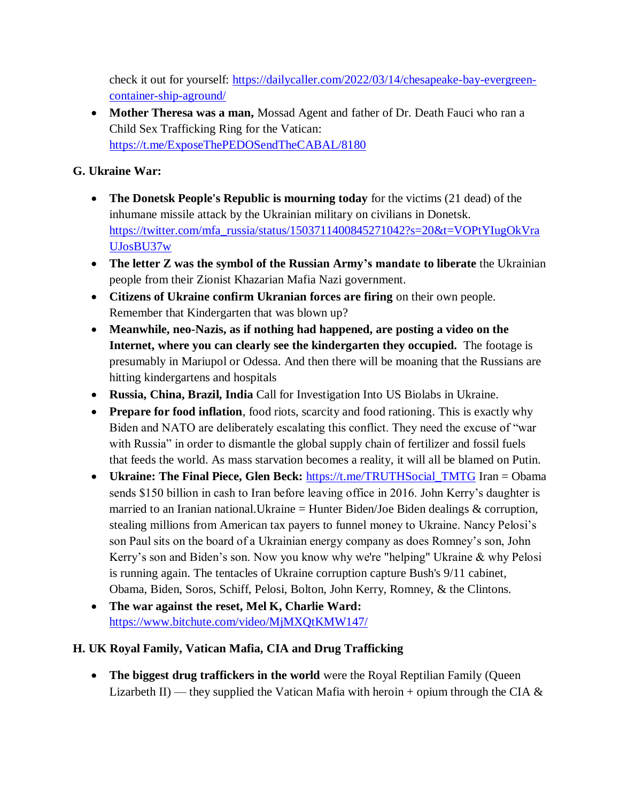check it out for yourself: [https://dailycaller.com/2022/03/14/chesapeake-bay-evergreen](https://dailycaller.com/2022/03/14/chesapeake-bay-evergreen-container-ship-aground/)[container-ship-aground/](https://dailycaller.com/2022/03/14/chesapeake-bay-evergreen-container-ship-aground/)

 **Mother Theresa was a man,** Mossad Agent and father of Dr. Death Fauci who ran a Child Sex Trafficking Ring for the Vatican: <https://t.me/ExposeThePEDOSendTheCABAL/8180>

# **G. Ukraine War:**

- **The Donetsk People's Republic is mourning today** for the victims (21 dead) of the inhumane missile attack by the Ukrainian military on civilians in Donetsk. [https://twitter.com/mfa\\_russia/status/1503711400845271042?s=20&t=VOPtYIugOkVra](https://twitter.com/mfa_russia/status/1503711400845271042?s=20&t=VOPtYIugOkVraUJosBU37w) [UJosBU37w](https://twitter.com/mfa_russia/status/1503711400845271042?s=20&t=VOPtYIugOkVraUJosBU37w)
- **The letter Z was the symbol of the Russian Army's mandate to liberate** the Ukrainian people from their Zionist Khazarian Mafia Nazi government.
- **Citizens of Ukraine confirm Ukranian forces are firing** on their own people. Remember that Kindergarten that was blown up?
- **Meanwhile, neo-Nazis, as if nothing had happened, are posting a video on the Internet, where you can clearly see the kindergarten they occupied.** The footage is presumably in Mariupol or Odessa. And then there will be moaning that the Russians are hitting kindergartens and hospitals
- **Russia, China, Brazil, India** Call for Investigation Into US Biolabs in Ukraine.
- **Prepare for food inflation**, food riots, scarcity and food rationing. This is exactly why Biden and NATO are deliberately escalating this conflict. They need the excuse of "war with Russia" in order to dismantle the global supply chain of fertilizer and fossil fuels that feeds the world. As mass starvation becomes a reality, it will all be blamed on Putin.
- Ukraine: The Final Piece, Glen Beck: https://t.me/TRUTHSocial TMTG Iran = Obama sends \$150 billion in cash to Iran before leaving office in 2016. John Kerry's daughter is married to an Iranian national. Ukraine  $=$  Hunter Biden/Joe Biden dealings  $\&$  corruption, stealing millions from American tax payers to funnel money to Ukraine. Nancy Pelosi's son Paul sits on the board of a Ukrainian energy company as does Romney's son, John Kerry's son and Biden's son. Now you know why we're "helping" Ukraine & why Pelosi is running again. The tentacles of Ukraine corruption capture Bush's 9/11 cabinet, Obama, Biden, Soros, Schiff, Pelosi, Bolton, John Kerry, Romney, & the Clintons.
- **The war against the reset, Mel K, Charlie Ward:**  <https://www.bitchute.com/video/MjMXQtKMW147/>

# **H. UK Royal Family, Vatican Mafia, CIA and Drug Trafficking**

**• The biggest drug traffickers in the world** were the Royal Reptilian Family (Queen Lizarbeth II) — they supplied the Vatican Mafia with heroin + opium through the CIA  $\&$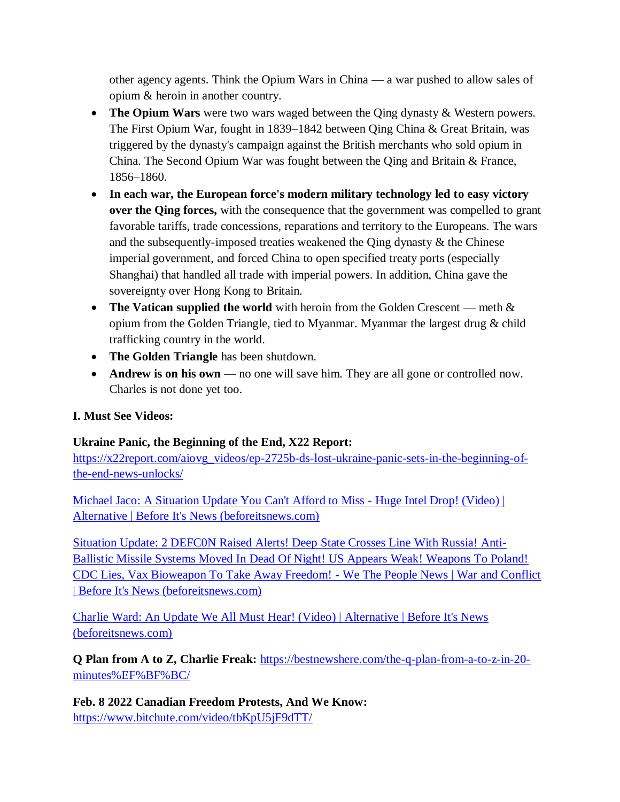other agency agents. Think the Opium Wars in China — a war pushed to allow sales of opium & heroin in another country.

- **The Opium Wars** were two wars waged between the Qing dynasty & Western powers. The First Opium War, fought in 1839–1842 between Qing China & Great Britain, was triggered by the dynasty's campaign against the British merchants who sold opium in China. The Second Opium War was fought between the Qing and Britain & France, 1856–1860.
- **In each war, the European force's modern military technology led to easy victory over the Qing forces,** with the consequence that the government was compelled to grant favorable tariffs, trade concessions, reparations and territory to the Europeans. The wars and the subsequently-imposed treaties weakened the Qing dynasty & the Chinese imperial government, and forced China to open specified treaty ports (especially Shanghai) that handled all trade with imperial powers. In addition, China gave the sovereignty over Hong Kong to Britain.
- **The Vatican supplied the world** with heroin from the Golden Crescent meth  $\&$ opium from the Golden Triangle, tied to Myanmar. Myanmar the largest drug & child trafficking country in the world.
- **The Golden Triangle** has been shutdown.
- **Andrew is on his own** no one will save him. They are all gone or controlled now. Charles is not done yet too.

### **I. Must See Videos:**

### **Ukraine Panic, the Beginning of the End, X22 Report:**

[https://x22report.com/aiovg\\_videos/ep-2725b-ds-lost-ukraine-panic-sets-in-the-beginning-of](https://x22report.com/aiovg_videos/ep-2725b-ds-lost-ukraine-panic-sets-in-the-beginning-of-the-end-news-unlocks/)[the-end-news-unlocks/](https://x22report.com/aiovg_videos/ep-2725b-ds-lost-ukraine-panic-sets-in-the-beginning-of-the-end-news-unlocks/)

[Michael Jaco: A Situation Update You Can't Afford to Miss -](https://beforeitsnews.com/alternative/2022/03/michael-jaco-a-situation-update-you-cant-afford-to-miss-huge-intel-drop-video-3769214.html) Huge Intel Drop! (Video) | [Alternative | Before It's News \(beforeitsnews.com\)](https://beforeitsnews.com/alternative/2022/03/michael-jaco-a-situation-update-you-cant-afford-to-miss-huge-intel-drop-video-3769214.html)

[Situation Update: 2 DEFC0N Raised Alerts! Deep State Crosses Line With Russia! Anti-](https://beforeitsnews.com/war-and-conflict/2022/03/situation-update-2-defc0n-raised-alerts-deep-state-crosses-line-with-russia-anti-ballistic-missile-systems-moved-in-dead-of-night-us-appears-weak-we-the-people-news-2474699.html)[Ballistic Missile Systems Moved In Dead Of Night! US Appears Weak! Weapons To Poland!](https://beforeitsnews.com/war-and-conflict/2022/03/situation-update-2-defc0n-raised-alerts-deep-state-crosses-line-with-russia-anti-ballistic-missile-systems-moved-in-dead-of-night-us-appears-weak-we-the-people-news-2474699.html)  [CDC Lies, Vax Bioweapon To Take Away Freedom! -](https://beforeitsnews.com/war-and-conflict/2022/03/situation-update-2-defc0n-raised-alerts-deep-state-crosses-line-with-russia-anti-ballistic-missile-systems-moved-in-dead-of-night-us-appears-weak-we-the-people-news-2474699.html) We The People News | War and Conflict [| Before It's News \(beforeitsnews.com\)](https://beforeitsnews.com/war-and-conflict/2022/03/situation-update-2-defc0n-raised-alerts-deep-state-crosses-line-with-russia-anti-ballistic-missile-systems-moved-in-dead-of-night-us-appears-weak-we-the-people-news-2474699.html)

[Charlie Ward: An Update We All Must Hear! \(Video\) | Alternative | Before It's News](https://beforeitsnews.com/alternative/2022/03/charlie-ward-an-update-we-all-must-hear-video-3769168.html)  [\(beforeitsnews.com\)](https://beforeitsnews.com/alternative/2022/03/charlie-ward-an-update-we-all-must-hear-video-3769168.html)

**Q Plan from A to Z, Charlie Freak:** [https://bestnewshere.com/the-q-plan-from-a-to-z-in-20](https://bestnewshere.com/the-q-plan-from-a-to-z-in-20-minutes%EF%BF%BC/) [minutes%EF%BF%BC/](https://bestnewshere.com/the-q-plan-from-a-to-z-in-20-minutes%EF%BF%BC/)

**Feb. 8 2022 Canadian Freedom Protests, And We Know:**  <https://www.bitchute.com/video/tbKpU5jF9dTT/>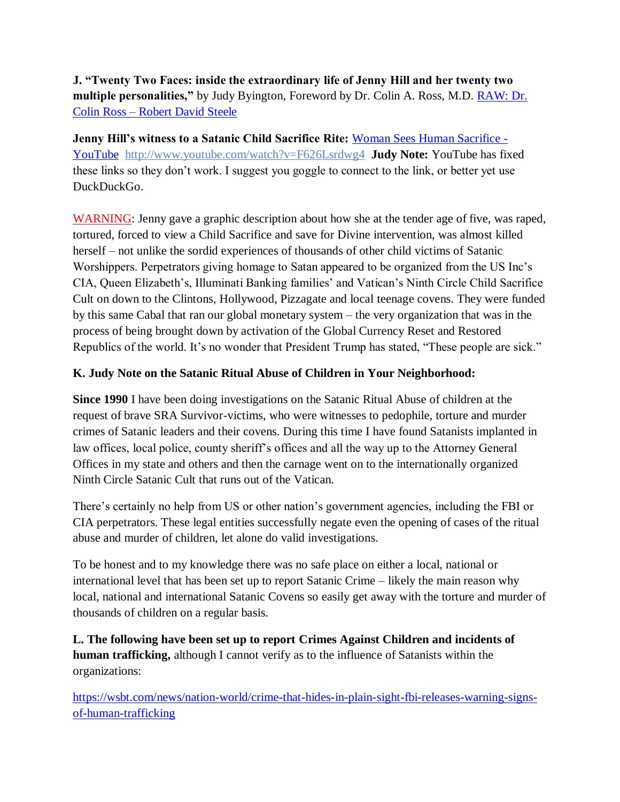**J. "Twenty Two Faces: inside the extraordinary life of Jenny Hill and her twenty two multiple personalities,"** by Judy Byington, Foreword by Dr. Colin A. Ross, M.D. [RAW: Dr.](https://robertdavidsteele.com/dr-colin-ross/)  Colin Ross – [Robert David Steele](https://robertdavidsteele.com/dr-colin-ross/)

**Jenny Hill's witness to a Satanic Child Sacrifice Rite: [Woman Sees Human Sacrifice -](https://www.youtube.com/watch?v=F626Lsrdwg4)** [YouTube http://www.youtube.com/watch?v=F626Lsrdwg4](https://www.youtube.com/watch?v=F626Lsrdwg4) **Judy Note:** YouTube has fixed these links so they don't work. I suggest you goggle to connect to the link, or better yet use DuckDuckGo.

WARNING: Jenny gave a graphic description about how she at the tender age of five, was raped, tortured, forced to view a Child Sacrifice and save for Divine intervention, was almost killed herself – not unlike the sordid experiences of thousands of other child victims of Satanic Worshippers. Perpetrators giving homage to Satan appeared to be organized from the US Inc's CIA, Queen Elizabeth's, Illuminati Banking families' and Vatican's Ninth Circle Child Sacrifice Cult on down to the Clintons, Hollywood, Pizzagate and local teenage covens. They were funded by this same Cabal that ran our global monetary system – the very organization that was in the process of being brought down by activation of the Global Currency Reset and Restored Republics of the world. It's no wonder that President Trump has stated, "These people are sick."

#### **K. Judy Note on the Satanic Ritual Abuse of Children in Your Neighborhood:**

**Since 1990** I have been doing investigations on the Satanic Ritual Abuse of children at the request of brave SRA Survivor-victims, who were witnesses to pedophile, torture and murder crimes of Satanic leaders and their covens. During this time I have found Satanists implanted in law offices, local police, county sheriff's offices and all the way up to the Attorney General Offices in my state and others and then the carnage went on to the internationally organized Ninth Circle Satanic Cult that runs out of the Vatican.

There's certainly no help from US or other nation's government agencies, including the FBI or CIA perpetrators. These legal entities successfully negate even the opening of cases of the ritual abuse and murder of children, let alone do valid investigations.

To be honest and to my knowledge there was no safe place on either a local, national or international level that has been set up to report Satanic Crime – likely the main reason why local, national and international Satanic Covens so easily get away with the torture and murder of thousands of children on a regular basis.

**L. The following have been set up to report Crimes Against Children and incidents of human trafficking,** although I cannot verify as to the influence of Satanists within the organizations:

[https://wsbt.com/news/nation-world/crime-that-hides-in-plain-sight-fbi-releases-warning-signs](https://wsbt.com/news/nation-world/crime-that-hides-in-plain-sight-fbi-releases-warning-signs-of-human-trafficking?video=e56ba52a1b9d45ad8c8a033fd83fe480&jwsource=cl)[of-human-trafficking](https://wsbt.com/news/nation-world/crime-that-hides-in-plain-sight-fbi-releases-warning-signs-of-human-trafficking?video=e56ba52a1b9d45ad8c8a033fd83fe480&jwsource=cl)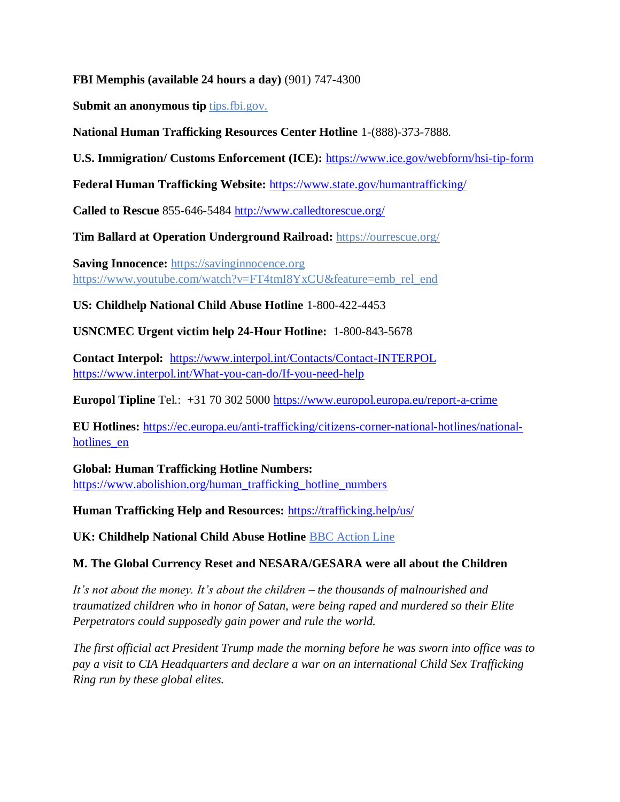#### **FBI Memphis (available 24 hours a day)** (901) 747-4300

**Submit an anonymous tip tips.fbi.gov.** 

#### **National Human Trafficking Resources Center Hotline** 1-(888)-373-7888.

**U.S. Immigration/ Customs Enforcement (ICE):** <https://www.ice.gov/webform/hsi-tip-form>

**Federal Human Trafficking Website:** <https://www.state.gov/humantrafficking/>

**Called to Rescue** 855-646-5484<http://www.calledtorescue.org/>

**Tim Ballard at Operation Underground Railroad:** <https://ourrescue.org/>

**Saving Innocence:** [https://savinginnocence.org](https://savinginnocence.org/) [https://www.youtube.com/watch?v=FT4tmI8YxCU&feature=emb\\_rel\\_end](https://www.youtube.com/watch?v=FT4tmI8YxCU&feature=emb_rel_end)

**US: Childhelp National Child Abuse Hotline** 1-800-422-4453

**USNCMEC Urgent victim help 24-Hour Hotline:** 1-800-843-5678

**Contact Interpol:** <https://www.interpol.int/Contacts/Contact-INTERPOL> <https://www.interpol.int/What-you-can-do/If-you-need-help>

**Europol Tipline** Tel.: +31 70 302 5000<https://www.europol.europa.eu/report-a-crime>

**EU Hotlines:** [https://ec.europa.eu/anti-trafficking/citizens-corner-national-hotlines/national](https://ec.europa.eu/anti-trafficking/citizens-corner-national-hotlines/national-hotlines_en)[hotlines\\_en](https://ec.europa.eu/anti-trafficking/citizens-corner-national-hotlines/national-hotlines_en)

**Global: Human Trafficking Hotline Numbers:** [https://www.abolishion.org/human\\_trafficking\\_hotline\\_numbers](https://www.abolishion.org/human_trafficking_hotline_numbers)

**Human Trafficking Help and Resources:** <https://trafficking.help/us/>

**UK: Childhelp National Child Abuse Hotline** [BBC Action Line](https://www.bbc.co.uk/actionline)

#### **M. The Global Currency Reset and NESARA/GESARA were all about the Children**

*It's not about the money. It's about the children – the thousands of malnourished and traumatized children who in honor of Satan, were being raped and murdered so their Elite Perpetrators could supposedly gain power and rule the world.* 

*The first official act President Trump made the morning before he was sworn into office was to pay a visit to CIA Headquarters and declare a war on an international Child Sex Trafficking Ring run by these global elites.*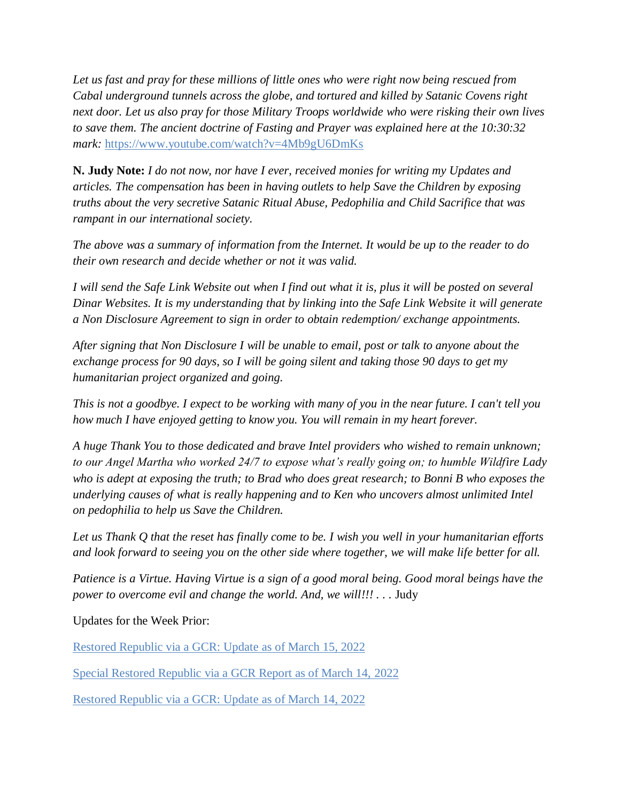*Let us fast and pray for these millions of little ones who were right now being rescued from Cabal underground tunnels across the globe, and tortured and killed by Satanic Covens right next door. Let us also pray for those Military Troops worldwide who were risking their own lives to save them. The ancient doctrine of Fasting and Prayer was explained here at the 10:30:32 mark:* <https://www.youtube.com/watch?v=4Mb9gU6DmKs>

**N. Judy Note:** *I do not now, nor have I ever, received monies for writing my Updates and articles. The compensation has been in having outlets to help Save the Children by exposing truths about the very secretive Satanic Ritual Abuse, Pedophilia and Child Sacrifice that was rampant in our international society.*

*The above was a summary of information from the Internet. It would be up to the reader to do their own research and decide whether or not it was valid.*

*I will send the Safe Link Website out when I find out what it is, plus it will be posted on several Dinar Websites. It is my understanding that by linking into the Safe Link Website it will generate a Non Disclosure Agreement to sign in order to obtain redemption/ exchange appointments.*

*After signing that Non Disclosure I will be unable to email, post or talk to anyone about the exchange process for 90 days, so I will be going silent and taking those 90 days to get my humanitarian project organized and going.*

*This is not a goodbye. I expect to be working with many of you in the near future. I can't tell you how much I have enjoyed getting to know you. You will remain in my heart forever.*

*A huge Thank You to those dedicated and brave Intel providers who wished to remain unknown; to our Angel Martha who worked 24/7 to expose what's really going on; to humble Wildfire Lady who is adept at exposing the truth; to Brad who does great research; to Bonni B who exposes the underlying causes of what is really happening and to Ken who uncovers almost unlimited Intel on pedophilia to help us Save the Children.*

*Let us Thank Q that the reset has finally come to be. I wish you well in your humanitarian efforts and look forward to seeing you on the other side where together, we will make life better for all.*

*Patience is a Virtue. Having Virtue is a sign of a good moral being. Good moral beings have the power to overcome evil and change the world. And, we will!!!* . . . Judy

Updates for the Week Prior:

[Restored Republic via a GCR: Update as of March 15, 2022](https://operationdisclosureofficial.com/2022/03/15/restored-republic-via-a-gcr-as-of-march-15-2022/)

[Special Restored Republic via a GCR Report as of March 14,](https://operationdisclosureofficial.com/2022/03/14/special-restored-republic-via-a-gcr-report-as-of-march-14-2022/) 2022

[Restored Republic via a GCR: Update as of March 14, 2022](https://operationdisclosureofficial.com/2022/03/14/restored-republic-via-a-gcr-as-of-march-14-2022/)